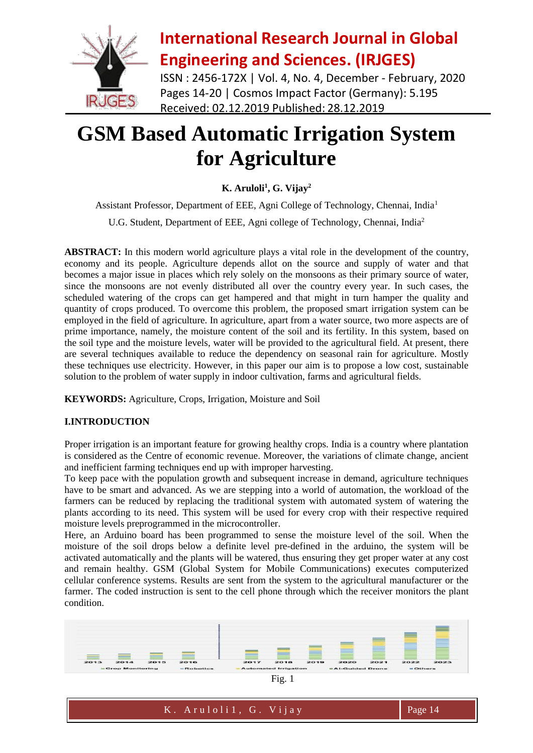

ISSN : 2456-172X | Vol. 4, No. 4, December - February, 2020 Pages 14-20 | Cosmos Impact Factor (Germany): 5.195 Received: 02.12.2019 Published: 28.12.2019

# **GSM Based Automatic Irrigation System for Agriculture**

### **K. Aruloli<sup>1</sup> , G. Vijay<sup>2</sup>**

Assistant Professor, Department of EEE, Agni College of Technology, Chennai, India<sup>1</sup> U.G. Student, Department of EEE, Agni college of Technology, Chennai, India<sup>2</sup>

**ABSTRACT:** In this modern world agriculture plays a vital role in the development of the country, economy and its people. Agriculture depends allot on the source and supply of water and that becomes a major issue in places which rely solely on the monsoons as their primary source of water, since the monsoons are not evenly distributed all over the country every year. In such cases, the scheduled watering of the crops can get hampered and that might in turn hamper the quality and quantity of crops produced. To overcome this problem, the proposed smart irrigation system can be employed in the field of agriculture. In agriculture, apart from a water source, two more aspects are of prime importance, namely, the moisture content of the soil and its fertility. In this system, based on the soil type and the moisture levels, water will be provided to the agricultural field. At present, there are several techniques available to reduce the dependency on seasonal rain for agriculture. Mostly these techniques use electricity. However, in this paper our aim is to propose a low cost, sustainable solution to the problem of water supply in indoor cultivation, farms and agricultural fields.

**KEYWORDS:** Agriculture, Crops, Irrigation, Moisture and Soil

### **I.INTRODUCTION**

Proper irrigation is an important feature for growing healthy crops. India is a country where plantation is considered as the Centre of economic revenue. Moreover, the variations of climate change, ancient and inefficient farming techniques end up with improper harvesting.

To keep pace with the population growth and subsequent increase in demand, agriculture techniques have to be smart and advanced. As we are stepping into a world of automation, the workload of the farmers can be reduced by replacing the traditional system with automated system of watering the plants according to its need. This system will be used for every crop with their respective required moisture levels preprogrammed in the microcontroller.

Here, an Arduino board has been programmed to sense the moisture level of the soil. When the moisture of the soil drops below a definite level pre-defined in the arduino, the system will be activated automatically and the plants will be watered, thus ensuring they get proper water at any cost and remain healthy. GSM (Global System for Mobile Communications) executes computerized cellular conference systems. Results are sent from the system to the agricultural manufacturer or the farmer. The coded instruction is sent to the cell phone through which the receiver monitors the plant condition.

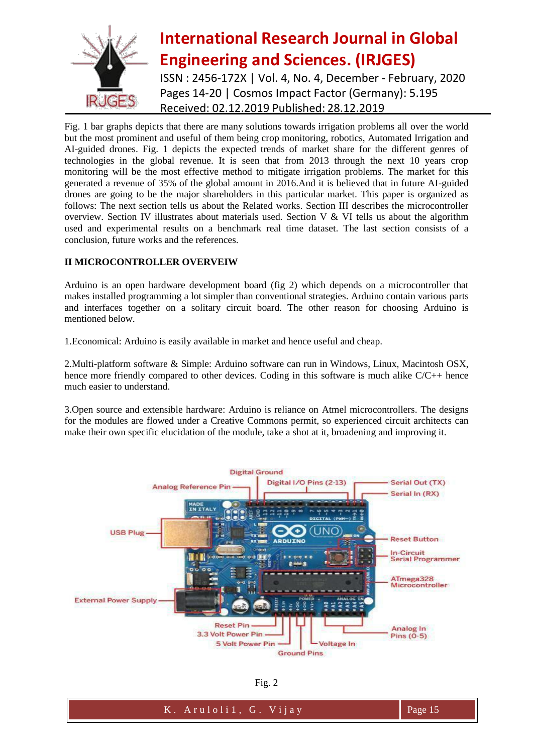

## **International Research Journal in Global Engineering and Sciences. (IRJGES)** ISSN : 2456-172X | Vol. 4, No. 4, December - February, 2020 Pages 14-20 | Cosmos Impact Factor (Germany): 5.195

Received: 02.12.2019 Published: 28.12.2019

Fig. 1 bar graphs depicts that there are many solutions towards irrigation problems all over the world but the most prominent and useful of them being crop monitoring, robotics, Automated Irrigation and AI-guided drones. Fig. 1 depicts the expected trends of market share for the different genres of technologies in the global revenue. It is seen that from 2013 through the next 10 years crop monitoring will be the most effective method to mitigate irrigation problems. The market for this generated a revenue of 35% of the global amount in 2016.And it is believed that in future AI-guided drones are going to be the major shareholders in this particular market. This paper is organized as follows: The next section tells us about the Related works. Section III describes the microcontroller overview. Section IV illustrates about materials used. Section V & VI tells us about the algorithm used and experimental results on a benchmark real time dataset. The last section consists of a conclusion, future works and the references.

### **II MICROCONTROLLER OVERVEIW**

Arduino is an open hardware development board (fig 2) which depends on a microcontroller that makes installed programming a lot simpler than conventional strategies. Arduino contain various parts and interfaces together on a solitary circuit board. The other reason for choosing Arduino is mentioned below.

1.Economical: Arduino is easily available in market and hence useful and cheap.

2.Multi-platform software & Simple: Arduino software can run in Windows, Linux, Macintosh OSX, hence more friendly compared to other devices. Coding in this software is much alike C/C++ hence much easier to understand.

3.Open source and extensible hardware: Arduino is reliance on Atmel microcontrollers. The designs for the modules are flowed under a Creative Commons permit, so experienced circuit architects can make their own specific elucidation of the module, take a shot at it, broadening and improving it.



Fig. 2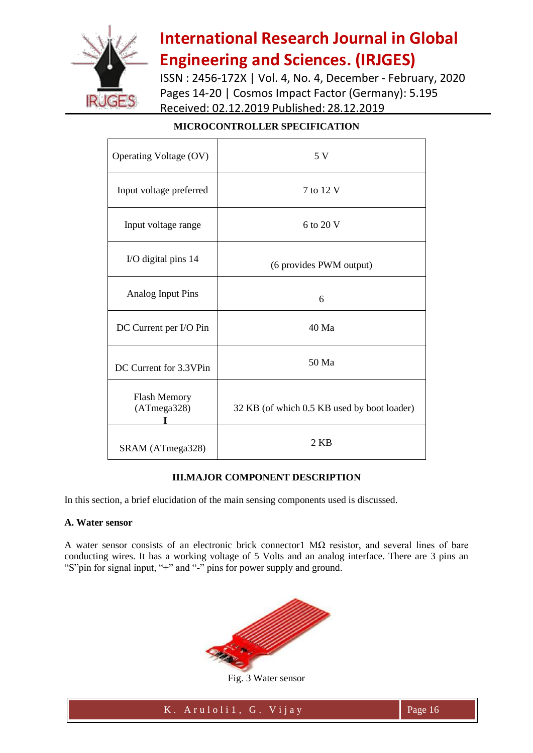

ISSN : 2456-172X | Vol. 4, No. 4, December - February, 2020 Pages 14-20 | Cosmos Impact Factor (Germany): 5.195 Received: 02.12.2019 Published: 28.12.2019

| Operating Voltage (OV)      | 5 V                                         |
|-----------------------------|---------------------------------------------|
| Input voltage preferred     | 7 to 12 V                                   |
| Input voltage range         | 6 to 20 V                                   |
| I/O digital pins 14         | (6 provides PWM output)                     |
| Analog Input Pins           | 6                                           |
| DC Current per I/O Pin      | 40 Ma                                       |
| DC Current for 3.3VPin      | 50 Ma                                       |
| Flash Memory<br>(ATmega328) | 32 KB (of which 0.5 KB used by boot loader) |
| SRAM (ATmega328)            | 2KB                                         |

### **MICROCONTROLLER SPECIFICATION**

#### **III.MAJOR COMPONENT DESCRIPTION**

In this section, a brief elucidation of the main sensing components used is discussed.

#### **A. Water sensor**

A water sensor consists of an electronic brick connector1 MΩ resistor, and several lines of bare conducting wires. It has a working voltage of 5 Volts and an analog interface. There are 3 pins an "S"pin for signal input, "+" and "-" pins for power supply and ground.



Fig. 3 Water sensor

K . A r u l o l i 1 , G . V i j a y Page 16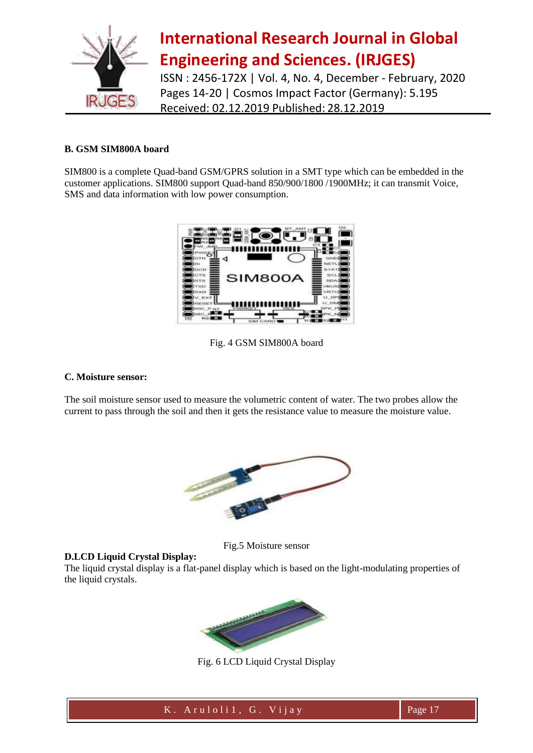

ISSN : 2456-172X | Vol. 4, No. 4, December - February, 2020 Pages 14-20 | Cosmos Impact Factor (Germany): 5.195 Received: 02.12.2019 Published: 28.12.2019

#### **B. GSM SIM800A board**

SIM800 is a complete Quad-band GSM/GPRS solution in a SMT type which can be embedded in the customer applications. SIM800 support Quad-band 850/900/1800 /1900MHz; it can transmit Voice, SMS and data information with low power consumption.



Fig. 4 GSM SIM800A board

#### **C. Moisture sensor:**

The soil moisture sensor used to measure the volumetric content of water. The two probes allow the current to pass through the soil and then it gets the resistance value to measure the moisture value.



Fig.5 Moisture sensor

#### **D.LCD Liquid Crystal Display:**

The liquid crystal display is a flat-panel display which is based on the light-modulating properties of the liquid crystals.



Fig. 6 LCD Liquid Crystal Display

K . A r u l o l i 1 , G . V i j a y Page 17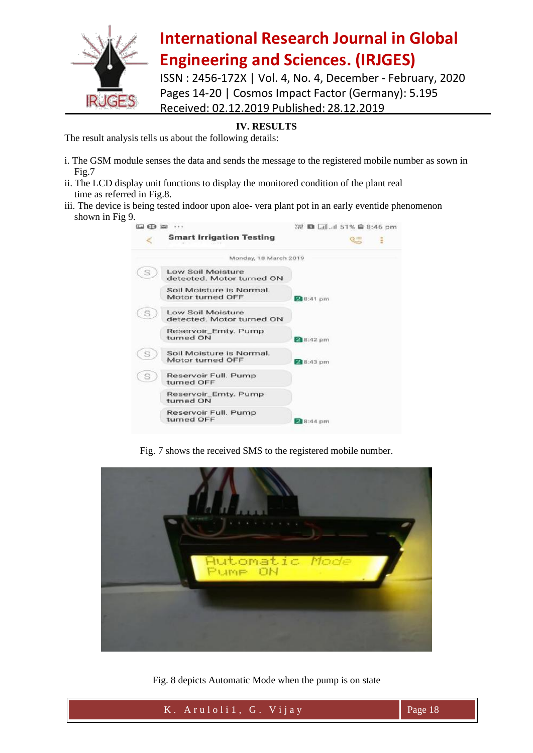

ISSN : 2456-172X | Vol. 4, No. 4, December - February, 2020 Pages 14-20 | Cosmos Impact Factor (Germany): 5.195 Received: 02.12.2019 Published: 28.12.2019

### **IV. RESULTS**

The result analysis tells us about the following details:

- i. The GSM module senses the data and sends the message to the registered mobile number as sown in Fig.7
- ii. The LCD display unit functions to display the monitored condition of the plant real time as referred in Fig.8.
- iii. The device is being tested indoor upon aloe- vera plant pot in an early eventide phenomenon shown in Fig 9.

| 国田田<br>1.1.1 |                                                       | <sup>22</sup> ■ <i><u>ail</u>.ii</i> l 51% ■ 8:46 pm |
|--------------|-------------------------------------------------------|------------------------------------------------------|
|              | <b>Smart Irrigation Testing</b>                       | ÷                                                    |
|              | Monday, 18 March 2019                                 |                                                      |
| S            | <b>Low Soil Moisture</b><br>detected. Motor turned ON |                                                      |
|              | Soil Moisture is Normal.<br>Motor turned OFF          | 2 8:41 pm                                            |
| S            | <b>Low Soil Moisture</b><br>detected. Motor turned ON |                                                      |
|              | Reservoir_Emty. Pump<br>turned ON                     | 2 8:42 pm                                            |
| S            | Soil Moisture is Normal.<br>Motor turned OFF          | 28:43 pm                                             |
| S            | Reservoir Full. Pump<br>turned OFF                    |                                                      |
|              | Reservoir_Emty. Pump<br>turned ON                     |                                                      |
|              | Reservoir Full. Pump<br>turned OFF                    | 2 8:44 pm                                            |

Fig. 7 shows the received SMS to the registered mobile number.



Fig. 8 depicts Automatic Mode when the pump is on state

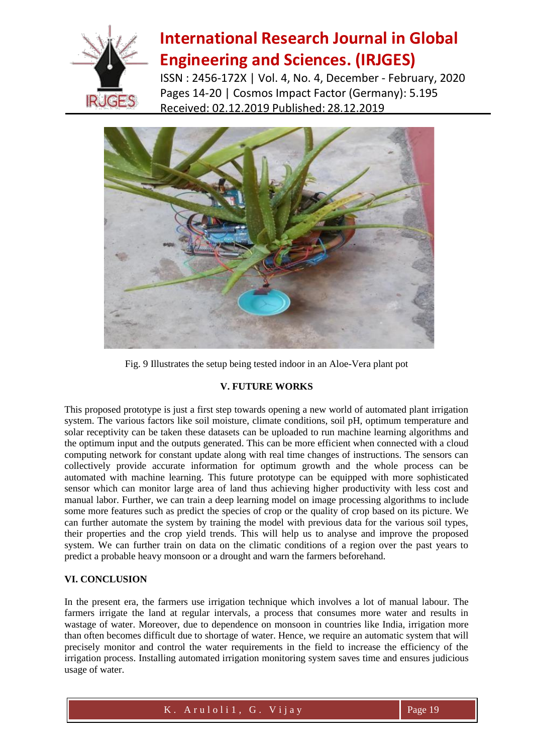

ISSN : 2456-172X | Vol. 4, No. 4, December - February, 2020 Pages 14-20 | Cosmos Impact Factor (Germany): 5.195 Received: 02.12.2019 Published: 28.12.2019



Fig. 9 Illustrates the setup being tested indoor in an Aloe-Vera plant pot

#### **V. FUTURE WORKS**

This proposed prototype is just a first step towards opening a new world of automated plant irrigation system. The various factors like soil moisture, climate conditions, soil pH, optimum temperature and solar receptivity can be taken these datasets can be uploaded to run machine learning algorithms and the optimum input and the outputs generated. This can be more efficient when connected with a cloud computing network for constant update along with real time changes of instructions. The sensors can collectively provide accurate information for optimum growth and the whole process can be automated with machine learning. This future prototype can be equipped with more sophisticated sensor which can monitor large area of land thus achieving higher productivity with less cost and manual labor. Further, we can train a deep learning model on image processing algorithms to include some more features such as predict the species of crop or the quality of crop based on its picture. We can further automate the system by training the model with previous data for the various soil types, their properties and the crop yield trends. This will help us to analyse and improve the proposed system. We can further train on data on the climatic conditions of a region over the past years to predict a probable heavy monsoon or a drought and warn the farmers beforehand.

### **VI. CONCLUSION**

In the present era, the farmers use irrigation technique which involves a lot of manual labour. The farmers irrigate the land at regular intervals, a process that consumes more water and results in wastage of water. Moreover, due to dependence on monsoon in countries like India, irrigation more than often becomes difficult due to shortage of water. Hence, we require an automatic system that will precisely monitor and control the water requirements in the field to increase the efficiency of the irrigation process. Installing automated irrigation monitoring system saves time and ensures judicious usage of water.

K . A r u l o l i 1 , G . V i j a y Page 19